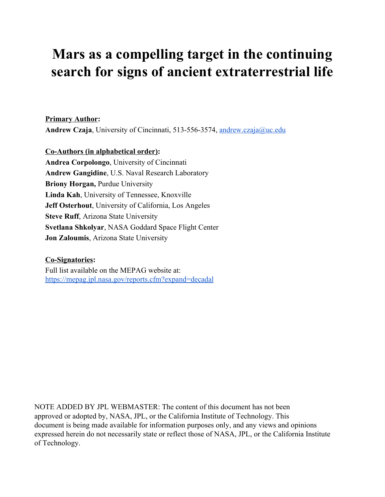# **Mars as a compelling target in the continuing search for signs of ancient extraterrestrial life**

**Primary Author:** Andrew Czaja, University of Cincinnati, 513-556-3574, [andrew.czaja@uc.edu](mailto:andrew.czaja@uc.edu)

**Co-Authors (in alphabetical order): Andrea Corpolongo**, University of Cincinnati **Andrew Gangidine**, U.S. Naval Research Laboratory **Briony Horgan,** Purdue University **Linda Kah**, University of Tennessee, Knoxville **Jeff Osterhout**, University of California, Los Angeles **Steve Ruff**, Arizona State University **Svetlana Shkolyar**, NASA Goddard Space Flight Center **Jon Zaloumis**, Arizona State University

#### **Co-Signatories:**

Full list available on the MEPAG website at: <https://mepag.jpl.nasa.gov/reports.cfm?expand=decadal>

NOTE ADDED BY JPL WEBMASTER: The content of this document has not been approved or adopted by, NASA, JPL, or the California Institute of Technology. This document is being made available for information purposes only, and any views and opinions expressed herein do not necessarily state or reflect those of NASA, JPL, or the California Institute of Technology.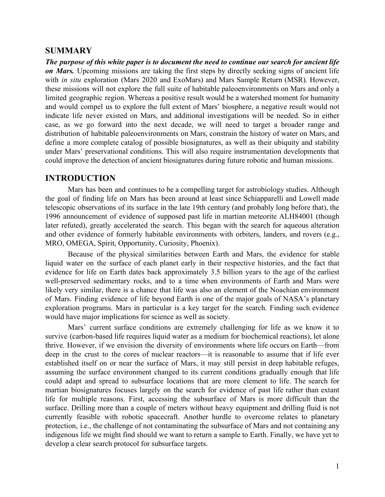#### **SUMMARY**

*The purpose of this white paper is to document the need to continue our search for ancient life on Mars.* Upcoming missions are taking the first steps by directly seeking signs of ancient life with *in situ* exploration (Mars 2020 and ExoMars) and Mars Sample Return (MSR). However, these missions will not explore the full suite of habitable paleoenvironments on Mars and only a limited geographic region. Whereas a positive result would be a watershed moment for humanity and would compel us to explore the full extent of Mars' biosphere, a negative result would not indicate life never existed on Mars, and additional investigations will be needed. So in either case, as we go forward into the next decade, we will need to target a broader range and distribution of habitable paleoenvironments on Mars, constrain the history of water on Mars, and define a more complete catalog of possible biosignatures, as well as their ubiquity and stability under Mars' preservational conditions. This will also require instrumentation developments that could improve the detection of ancient biosignatures during future robotic and human missions.

#### **INTRODUCTION**

Mars has been and continues to be a compelling target for astrobiology studies. Although the goal of finding life on Mars has been around at least since Schiapparelli and Lowell made telescopic observations of its surface in the late 19th century (and probably long before that), the 1996 announcement of evidence of supposed past life in martian meteorite ALH84001 (though later refuted), greatly accelerated the search. This began with the search for aqueous alteration and other evidence of formerly habitable environments with orbiters, landers, and rovers (e.g., MRO, OMEGA, Spirit, Opportunity, Curiosity, Phoenix).

Because of the physical similarities between Earth and Mars, the evidence for stable liquid water on the surface of each planet early in their respective histories, and the fact that evidence for life on Earth dates back approximately 3.5 billion years to the age of the earliest well-preserved sedimentary rocks, and to a time when environments of Earth and Mars were likely very similar, there is a chance that life was also an element of the Noachian environment of Mars. Finding evidence of life beyond Earth is one of the major goals of NASA's planetary exploration programs. Mars in particular is a key target for the search. Finding such evidence would have major implications for science as well as society.

Mars' current surface conditions are extremely challenging for life as we know it to survive (carbon-based life requires liquid water as a medium for biochemical reactions), let alone thrive. However, if we envision the diversity of environments where life occurs on Earth—from deep in the crust to the cores of nuclear reactors—it is reasonable to assume that if life ever established itself on or near the surface of Mars, it may still persist in deep habitable refuges, assuming the surface environment changed to its current conditions gradually enough that life could adapt and spread to subsurface locations that are more clement to life. The search for martian biosignatures focuses largely on the search for evidence of past life rather than extant life for multiple reasons. First, accessing the subsurface of Mars is more difficult than the surface. Drilling more than a couple of meters without heavy equipment and drilling fluid is not currently feasible with robotic spacecraft. Another hurdle to overcome relates to planetary protection, i.e., the challenge of not contaminating the subsurface of Mars and not containing any indigenous life we might find should we want to return a sample to Earth. Finally, we have yet to develop a clear search protocol for subsurface targets.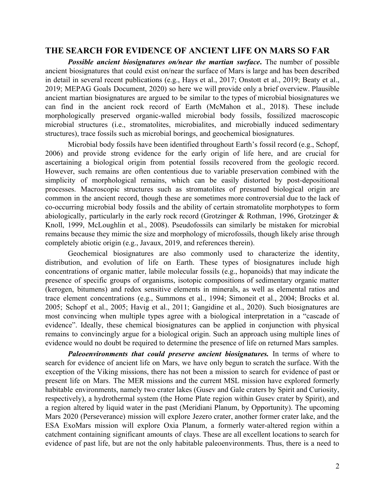# **THE SEARCH FOR EVIDENCE OF ANCIENT LIFE ON MARS SO FAR**

*Possible ancient biosignatures on/near the martian surface***.** The number of possible ancient biosignatures that could exist on/near the surface of Mars is large and has been described in detail in several recent publications (e.g., Hays et al., 2017; Onstott et al., 2019; Beaty et al., 2019; MEPAG Goals Document, 2020) so here we will provide only a brief overview. Plausible ancient martian biosignatures are argued to be similar to the types of microbial biosignatures we can find in the ancient rock record of Earth (McMahon et al., 2018). These include morphologically preserved organic-walled microbial body fossils, fossilized macroscopic microbial structures (i.e., stromatolites, microbialites, and microbially induced sedimentary structures), trace fossils such as microbial borings, and geochemical biosignatures.

Microbial body fossils have been identified throughout Earth's fossil record (e.g., Schopf, 2006) and provide strong evidence for the early origin of life here, and are crucial for ascertaining a biological origin from potential fossils recovered from the geologic record. However, such remains are often contentious due to variable preservation combined with the simplicity of morphological remains, which can be easily distorted by post-depositional processes. Macroscopic structures such as stromatolites of presumed biological origin are common in the ancient record, though these are sometimes more controversial due to the lack of co-occurring microbial body fossils and the ability of certain stromatolite morphotypes to form abiologically, particularly in the early rock record (Grotzinger & Rothman, 1996, Grotzinger & Knoll, 1999, McLoughlin et al., 2008). Pseudofossils can similarly be mistaken for microbial remains because they mimic the size and morphology of microfossils, though likely arise through completely abiotic origin (e.g., Javaux, 2019, and references therein).

Geochemical biosignatures are also commonly used to characterize the identity, distribution, and evolution of life on Earth. These types of biosignatures include high concentrations of organic matter, labile molecular fossils (e.g., hopanoids) that may indicate the presence of specific groups of organisms, isotopic compositions of sedimentary organic matter (kerogen, bitumens) and redox sensitive elements in minerals, as well as elemental ratios and trace element concentrations (e.g., Summons et al., 1994; Simoneit et al., 2004; Brocks et al. 2005; Schopf et al., 2005; Havig et al., 2011; Gangidine et al., 2020). Such biosignatures are most convincing when multiple types agree with a biological interpretation in a "cascade of evidence". Ideally, these chemical biosignatures can be applied in conjunction with physical remains to convincingly argue for a biological origin. Such an approach using multiple lines of evidence would no doubt be required to determine the presence of life on returned Mars samples.

*Paleoenvironments that could preserve ancient biosignatures.* In terms of where to search for evidence of ancient life on Mars, we have only begun to scratch the surface. With the exception of the Viking missions, there has not been a mission to search for evidence of past or present life on Mars. The MER missions and the current MSL mission have explored formerly habitable environments, namely two crater lakes (Gusev and Gale craters by Spirit and Curiosity, respectively), a hydrothermal system (the Home Plate region within Gusev crater by Spirit), and a region altered by liquid water in the past (Meridiani Planum, by Opportunity). The upcoming Mars 2020 (Perseverance) mission will explore Jezero crater, another former crater lake, and the ESA ExoMars mission will explore Oxia Planum, a formerly water-altered region within a catchment containing significant amounts of clays. These are all excellent locations to search for evidence of past life, but are not the only habitable paleoenvironments. Thus, there is a need to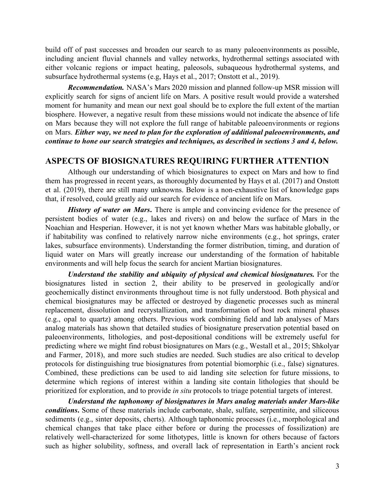build off of past successes and broaden our search to as many paleoenvironments as possible, including ancient fluvial channels and valley networks, hydrothermal settings associated with either volcanic regions or impact heating, paleosols, subaqueous hydrothermal systems, and subsurface hydrothermal systems (e.g, Hays et al., 2017; Onstott et al., 2019).

*Recommendation.* NASA's Mars 2020 mission and planned follow-up MSR mission will explicitly search for signs of ancient life on Mars. A positive result would provide a watershed moment for humanity and mean our next goal should be to explore the full extent of the martian biosphere. However, a negative result from these missions would not indicate the absence of life on Mars because they will not explore the full range of habitable paleoenvironments or regions on Mars. *Either way, we need to plan for the exploration of additional paleoenvironments, and continue to hone our search strategies and techniques, as described in sections 3 and 4, below.*

#### **ASPECTS OF BIOSIGNATURES REQUIRING FURTHER ATTENTION**

Although our understanding of which biosignatures to expect on Mars and how to find them has progressed in recent years, as thoroughly documented by Hays et al. (2017) and Onstott et al. (2019), there are still many unknowns. Below is a non-exhaustive list of knowledge gaps that, if resolved, could greatly aid our search for evidence of ancient life on Mars.

*History of water on Mars***.** There is ample and convincing evidence for the presence of persistent bodies of water (e.g., lakes and rivers) on and below the surface of Mars in the Noachian and Hesperian. However, it is not yet known whether Mars was habitable globally, or if habitability was confined to relatively narrow niche environments (e.g., hot springs, crater lakes, subsurface environments). Understanding the former distribution, timing, and duration of liquid water on Mars will greatly increase our understanding of the formation of habitable environments and will help focus the search for ancient Martian biosignatures.

*Understand the stability and ubiquity of physical and chemical biosignatures.* For the biosignatures listed in section 2, their ability to be preserved in geologically and/or geochemically distinct environments throughout time is not fully understood. Both physical and chemical biosignatures may be affected or destroyed by diagenetic processes such as mineral replacement, dissolution and recrystallization, and transformation of host rock mineral phases (e.g., opal to quartz) among others. Previous work combining field and lab analyses of Mars analog materials has shown that detailed studies of biosignature preservation potential based on paleoenvironments, lithologies, and post-depositional conditions will be extremely useful for predicting where we might find robust biosignatures on Mars (e.g., Westall et al., 2015; Shkolyar and Farmer, 2018), and more such studies are needed. Such studies are also critical to develop protocols for distinguishing true biosignatures from potential biomorphic (i.e., false) signatures. Combined, these predictions can be used to aid landing site selection for future missions, to determine which regions of interest within a landing site contain lithologies that should be prioritized for exploration, and to provide *in situ* protocols to triage potential targets of interest.

*Understand the taphonomy of biosignatures in Mars analog materials under Mars-like conditions***.** Some of these materials include carbonate, shale, sulfate, serpentinite, and siliceous sediments (e.g., sinter deposits, cherts). Although taphonomic processes (i.e., morphological and chemical changes that take place either before or during the processes of fossilization) are relatively well-characterized for some lithotypes, little is known for others because of factors such as higher solubility, softness, and overall lack of representation in Earth's ancient rock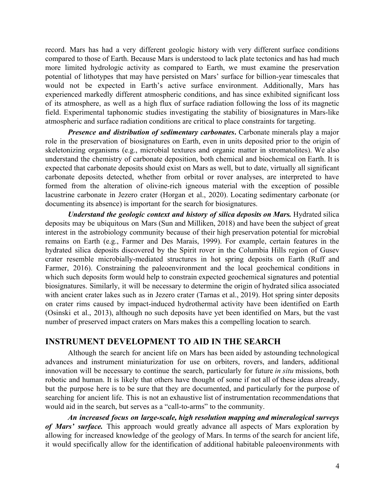record. Mars has had a very different geologic history with very different surface conditions compared to those of Earth. Because Mars is understood to lack plate tectonics and has had much more limited hydrologic activity as compared to Earth, we must examine the preservation potential of lithotypes that may have persisted on Mars' surface for billion-year timescales that would not be expected in Earth's active surface environment. Additionally, Mars has experienced markedly different atmospheric conditions, and has since exhibited significant loss of its atmosphere, as well as a high flux of surface radiation following the loss of its magnetic field. Experimental taphonomic studies investigating the stability of biosignatures in Mars-like atmospheric and surface radiation conditions are critical to place constraints for targeting.

*Presence and distribution of sedimentary carbonates***.** Carbonate minerals play a major role in the preservation of biosignatures on Earth, even in units deposited prior to the origin of skeletonizing organisms (e.g., microbial textures and organic matter in stromatolites). We also understand the chemistry of carbonate deposition, both chemical and biochemical on Earth. It is expected that carbonate deposits should exist on Mars as well, but to date, virtually all significant carbonate deposits detected, whether from orbital or rover analyses, are interpreted to have formed from the alteration of olivine-rich igneous material with the exception of possible lacustrine carbonate in Jezero crater (Horgan et al., 2020). Locating sedimentary carbonate (or documenting its absence) is important for the search for biosignatures.

*Understand the geologic context and history of silica deposits on Mars.* Hydrated silica deposits may be ubiquitous on Mars (Sun and Milliken, 2018) and have been the subject of great interest in the astrobiology community because of their high preservation potential for microbial remains on Earth (e.g., Farmer and Des Marais, 1999). For example, certain features in the hydrated silica deposits discovered by the Spirit rover in the Columbia Hills region of Gusev crater resemble microbially-mediated structures in hot spring deposits on Earth (Ruff and Farmer, 2016). Constraining the paleoenvironment and the local geochemical conditions in which such deposits form would help to constrain expected geochemical signatures and potential biosignatures. Similarly, it will be necessary to determine the origin of hydrated silica associated with ancient crater lakes such as in Jezero crater (Tarnas et al., 2019). Hot spring sinter deposits on crater rims caused by impact-induced hydrothermal activity have been identified on Earth (Osinski et al., 2013), although no such deposits have yet been identified on Mars, but the vast number of preserved impact craters on Mars makes this a compelling location to search.

# **INSTRUMENT DEVELOPMENT TO AID IN THE SEARCH**

Although the search for ancient life on Mars has been aided by astounding technological advances and instrument miniaturization for use on orbiters, rovers, and landers, additional innovation will be necessary to continue the search, particularly for future *in situ* missions, both robotic and human. It is likely that others have thought of some if not all of these ideas already, but the purpose here is to be sure that they are documented, and particularly for the purpose of searching for ancient life. This is not an exhaustive list of instrumentation recommendations that would aid in the search, but serves as a "call-to-arms" to the community.

*An increased focus on large-scale, high resolution mapping and mineralogical surveys of Mars' surface.* This approach would greatly advance all aspects of Mars exploration by allowing for increased knowledge of the geology of Mars. In terms of the search for ancient life, it would specifically allow for the identification of additional habitable paleoenvironments with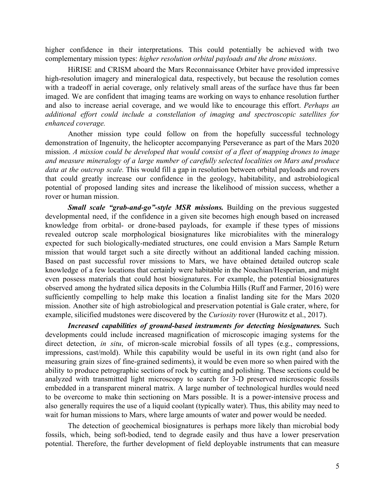higher confidence in their interpretations. This could potentially be achieved with two complementary mission types: *higher resolution orbital payloads and the drone missions*.

HiRISE and CRISM aboard the Mars Reconnaissance Orbiter have provided impressive high-resolution imagery and mineralogical data, respectively, but because the resolution comes with a tradeoff in aerial coverage, only relatively small areas of the surface have thus far been imaged. We are confident that imaging teams are working on ways to enhance resolution further and also to increase aerial coverage, and we would like to encourage this effort. *Perhaps an additional effort could include a constellation of imaging and spectroscopic satellites for enhanced coverage.*

Another mission type could follow on from the hopefully successful technology demonstration of Ingenuity, the helicopter accompanying Perseverance as part of the Mars 2020 mission. *A mission could be developed that would consist of a fleet of mapping drones to image and measure mineralogy of a large number of carefully selected localities on Mars and produce data at the outcrop scale.* This would fill a gap in resolution between orbital payloads and rovers that could greatly increase our confidence in the geology, habitability, and astrobiological potential of proposed landing sites and increase the likelihood of mission success, whether a rover or human mission.

*Small scale "grab-and-go"-style MSR missions.* Building on the previous suggested developmental need, if the confidence in a given site becomes high enough based on increased knowledge from orbital- or drone-based payloads, for example if these types of missions revealed outcrop scale morphological biosignatures like microbialites with the mineralogy expected for such biologically-mediated structures, one could envision a Mars Sample Return mission that would target such a site directly without an additional landed caching mission. Based on past successful rover missions to Mars, we have obtained detailed outcrop scale knowledge of a few locations that certainly were habitable in the Noachian/Hesperian, and might even possess materials that could host biosignatures. For example, the potential biosignatures observed among the hydrated silica deposits in the Columbia Hills (Ruff and Farmer, 2016) were sufficiently compelling to help make this location a finalist landing site for the Mars 2020 mission. Another site of high astrobiological and preservation potential is Gale crater, where, for example, silicified mudstones were discovered by the *Curiosity* rover (Hurowitz et al., 2017).

*Increased capabilities of ground-based instruments for detecting biosignatures.* Such developments could include increased magnification of microscopic imaging systems for the direct detection, *in situ*, of micron-scale microbial fossils of all types (e.g., compressions, impressions, cast/mold). While this capability would be useful in its own right (and also for measuring grain sizes of fine-grained sediments), it would be even more so when paired with the ability to produce petrographic sections of rock by cutting and polishing. These sections could be analyzed with transmitted light microscopy to search for 3-D preserved microscopic fossils embedded in a transparent mineral matrix. A large number of technological hurdles would need to be overcome to make thin sectioning on Mars possible. It is a power-intensive process and also generally requires the use of a liquid coolant (typically water). Thus, this ability may need to wait for human missions to Mars, where large amounts of water and power would be needed.

The detection of geochemical biosignatures is perhaps more likely than microbial body fossils, which, being soft-bodied, tend to degrade easily and thus have a lower preservation potential. Therefore, the further development of field deployable instruments that can measure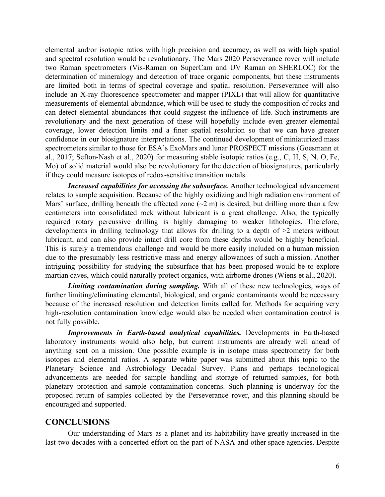elemental and/or isotopic ratios with high precision and accuracy, as well as with high spatial and spectral resolution would be revolutionary. The Mars 2020 Perseverance rover will include two Raman spectrometers (Vis-Raman on SuperCam and UV Raman on SHERLOC) for the determination of mineralogy and detection of trace organic components, but these instruments are limited both in terms of spectral coverage and spatial resolution. Perseverance will also include an X-ray fluorescence spectrometer and mapper (PIXL) that will allow for quantitative measurements of elemental abundance, which will be used to study the composition of rocks and can detect elemental abundances that could suggest the influence of life. Such instruments are revolutionary and the next generation of these will hopefully include even greater elemental coverage, lower detection limits and a finer spatial resolution so that we can have greater confidence in our biosignature interpretations. The continued development of miniaturized mass spectrometers similar to those for ESA's ExoMars and lunar PROSPECT missions (Goesmann et al., 2017; Sefton-Nash et al., 2020) for measuring stable isotopic ratios (e.g., C, H, S, N, O, Fe, Mo) of solid material would also be revolutionary for the detection of biosignatures, particularly if they could measure isotopes of redox-sensitive transition metals.

*Increased capabilities for accessing the subsurface.* Another technological advancement relates to sample acquisition. Because of the highly oxidizing and high radiation environment of Mars' surface, drilling beneath the affected zone  $(\sim 2 \text{ m})$  is desired, but drilling more than a few centimeters into consolidated rock without lubricant is a great challenge. Also, the typically required rotary percussive drilling is highly damaging to weaker lithologies. Therefore, developments in drilling technology that allows for drilling to a depth of >2 meters without lubricant, and can also provide intact drill core from these depths would be highly beneficial. This is surely a tremendous challenge and would be more easily included on a human mission due to the presumably less restrictive mass and energy allowances of such a mission. Another intriguing possibility for studying the subsurface that has been proposed would be to explore martian caves, which could naturally protect organics, with airborne drones (Wiens et al., 2020).

*Limiting contamination during sampling.* With all of these new technologies, ways of further limiting/eliminating elemental, biological, and organic contaminants would be necessary because of the increased resolution and detection limits called for. Methods for acquiring very high-resolution contamination knowledge would also be needed when contamination control is not fully possible.

*Improvements in Earth-based analytical capabilities.* Developments in Earth-based laboratory instruments would also help, but current instruments are already well ahead of anything sent on a mission. One possible example is in isotope mass spectrometry for both isotopes and elemental ratios. A separate white paper was submitted about this topic to the Planetary Science and Astrobiology Decadal Survey. Plans and perhaps technological advancements are needed for sample handling and storage of returned samples, for both planetary protection and sample contamination concerns. Such planning is underway for the proposed return of samples collected by the Perseverance rover, and this planning should be encouraged and supported.

# **CONCLUSIONS**

Our understanding of Mars as a planet and its habitability have greatly increased in the last two decades with a concerted effort on the part of NASA and other space agencies. Despite